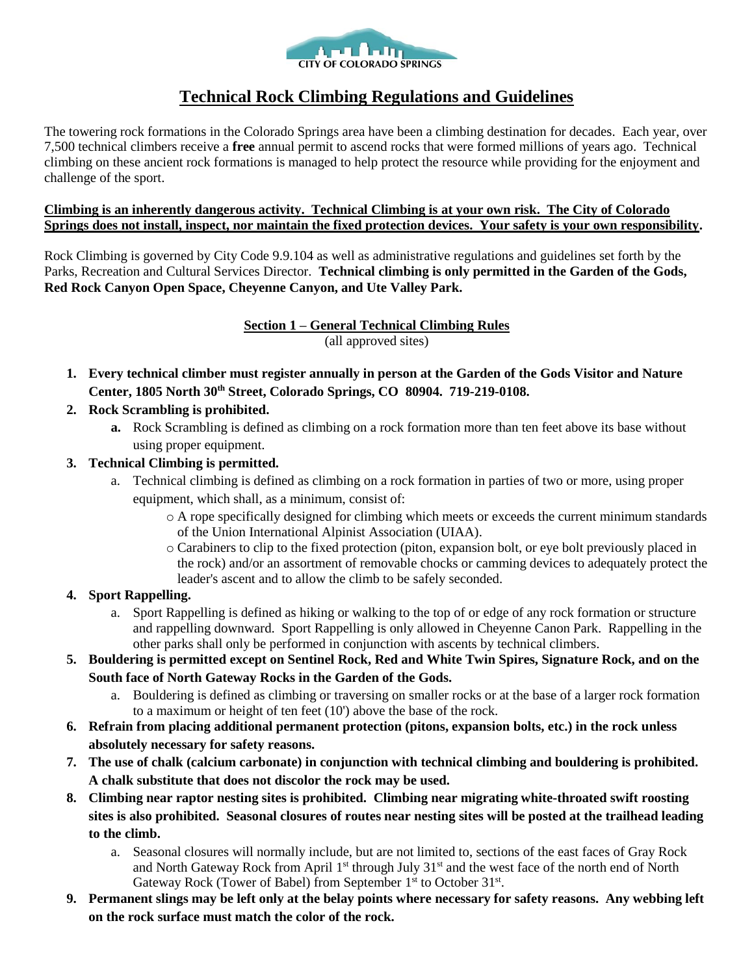

# **Technical Rock Climbing Regulations and Guidelines**

The towering rock formations in the Colorado Springs area have been a climbing destination for decades. Each year, over 7,500 technical climbers receive a **free** annual permit to ascend rocks that were formed millions of years ago. Technical climbing on these ancient rock formations is managed to help protect the resource while providing for the enjoyment and challenge of the sport.

#### **Climbing is an inherently dangerous activity. Technical Climbing is at your own risk. The City of Colorado Springs does not install, inspect, nor maintain the fixed protection devices. Your safety is your own responsibility.**

Rock Climbing is governed by City Code 9.9.104 as well as administrative regulations and guidelines set forth by the Parks, Recreation and Cultural Services Director. **Technical climbing is only permitted in the Garden of the Gods, Red Rock Canyon Open Space, Cheyenne Canyon, and Ute Valley Park.**

> **Section 1 – General Technical Climbing Rules** (all approved sites)

- **1. Every technical climber must register annually in person at the Garden of the Gods Visitor and Nature Center, 1805 North 30th Street, Colorado Springs, CO 80904. 719-219-0108.**
- **2. Rock Scrambling is prohibited.**
	- **a.** Rock Scrambling is defined as climbing on a rock formation more than ten feet above its base without using proper equipment.
- **3. Technical Climbing is permitted.**
	- a. Technical climbing is defined as climbing on a rock formation in parties of two or more, using proper equipment, which shall, as a minimum, consist of:
		- $\circ$  A rope specifically designed for climbing which meets or exceeds the current minimum standards of the Union International Alpinist Association (UIAA).
		- o Carabiners to clip to the fixed protection (piton, expansion bolt, or eye bolt previously placed in the rock) and/or an assortment of removable chocks or camming devices to adequately protect the leader's ascent and to allow the climb to be safely seconded.

### **4. Sport Rappelling.**

- a. Sport Rappelling is defined as hiking or walking to the top of or edge of any rock formation or structure and rappelling downward. Sport Rappelling is only allowed in Cheyenne Canon Park. Rappelling in the other parks shall only be performed in conjunction with ascents by technical climbers.
- **5. Bouldering is permitted except on Sentinel Rock, Red and White Twin Spires, Signature Rock, and on the South face of North Gateway Rocks in the Garden of the Gods.**
	- a. Bouldering is defined as climbing or traversing on smaller rocks or at the base of a larger rock formation to a maximum or height of ten feet (10') above the base of the rock.
- **6. Refrain from placing additional permanent protection (pitons, expansion bolts, etc.) in the rock unless absolutely necessary for safety reasons.**
- **7. The use of chalk (calcium carbonate) in conjunction with technical climbing and bouldering is prohibited. A chalk substitute that does not discolor the rock may be used.**
- **8. Climbing near raptor nesting sites is prohibited. Climbing near migrating white-throated swift roosting sites is also prohibited. Seasonal closures of routes near nesting sites will be posted at the trailhead leading to the climb.**
	- a. Seasonal closures will normally include, but are not limited to, sections of the east faces of Gray Rock and North Gateway Rock from April 1<sup>st</sup> through July 31<sup>st</sup> and the west face of the north end of North Gateway Rock (Tower of Babel) from September 1<sup>st</sup> to October 31<sup>st</sup>.
- **9. Permanent slings may be left only at the belay points where necessary for safety reasons. Any webbing left on the rock surface must match the color of the rock.**